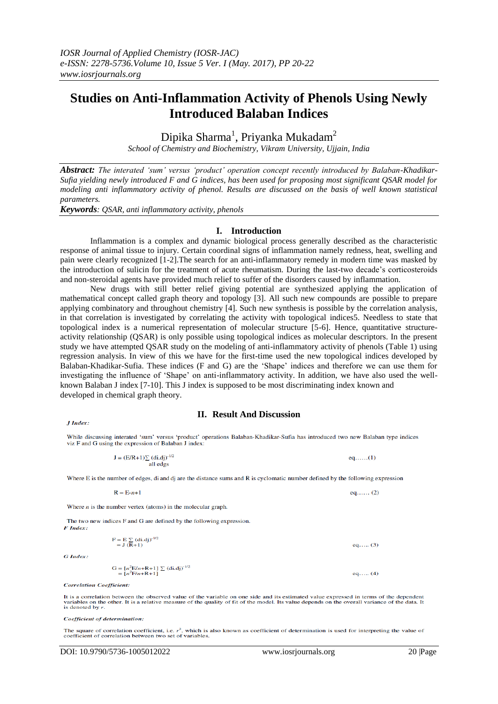# **Studies on Anti-Inflammation Activity of Phenols Using Newly Introduced Balaban Indices**

Dipika Sharma<sup>1</sup>, Priyanka Mukadam<sup>2</sup>

*School of Chemistry and Biochemistry, Vikram University, Ujjain, India*

*Abstract: The interated 'sum' versus 'product' operation concept recently introduced by Balaban-Khadikar-Sufia yielding newly introduced F and G indices, has been used for proposing most significant QSAR model for modeling anti inflammatory activity of phenol. Results are discussed on the basis of well known statistical parameters.*

*Keywords: QSAR, anti inflammatory activity, phenols*

### **I. Introduction**

Inflammation is a complex and dynamic biological process generally described as the characteristic response of animal tissue to injury. Certain coordinal signs of inflammation namely redness, heat, swelling and pain were clearly recognized [1-2].The search for an anti-inflammatory remedy in modern time was masked by the introduction of sulicin for the treatment of acute rheumatism. During the last-two decade's corticosteroids and non-steroidal agents have provided much relief to suffer of the disorders caused by inflammation.

New drugs with still better relief giving potential are synthesized applying the application of mathematical concept called graph theory and topology [3]. All such new compounds are possible to prepare applying combinatory and throughout chemistry [4]. Such new synthesis is possible by the correlation analysis, in that correlation is investigated by correlating the activity with topological indices5. Needless to state that topological index is a numerical representation of molecular structure [5-6]. Hence, quantitative structureactivity relationship (QSAR) is only possible using topological indices as molecular descriptors. In the present study we have attempted QSAR study on the modeling of anti-inflammatory activity of phenols (Table 1) using regression analysis. In view of this we have for the first-time used the new topological indices developed by Balaban-Khadikar-Sufia. These indices (F and G) are the 'Shape' indices and therefore we can use them for investigating the influence of 'Shape' on anti-inflammatory activity. In addition, we have also used the wellknown Balaban J index [7-10]. This J index is supposed to be most discriminating index known and developed in chemical graph theory.

## **II. Result And Discussion**

While discussing interated 'sum' versus 'product' operations Balaban-Khadikar-Sufia has introduced two new Balaban type indices viz F and G using the expression of Balaban J index:

> $J = (E/R+1)\sum (di.dj)^{-1/2}$  $eq.$ .... $(1)$ all edgs

Where E is the number of edges, di and dj are the distance sums and R is cyclomatic number defined by the following expression

 $R = E-n+1$  $eq... (2)$ 

Where  $n$  is the number vertex (atoms) in the molecular graph.

The two new indices F and G are defined by the following expression.  $F$  Index:

> $F = E \sum_{i=1}^{\infty} (di. dj)^{-1/2}$ <br>= J (R+1) eq..... $(3)$ G =  $[n^2E/n+R+1]$   $\sum$  (di.dj)<sup>-1/2</sup><br>=  $[n^2F/n+R+1]$ eq..... $(4)$

**Correlation Coefficient:** 

G Index:

**I** Index:

It is a correlation between the observed value of the variable on one side and its estimated value expressed in terms of the dependent<br>variables on the other. It is a relative measure of the quality of fit of the model. It is denoted by  $r$ .

Coefficient of determination:

The square of correlation coefficient, i.e.  $r^2$ , which is also known as coefficient of determination is used for interpreting the value of coefficient of correlation between two set of variables.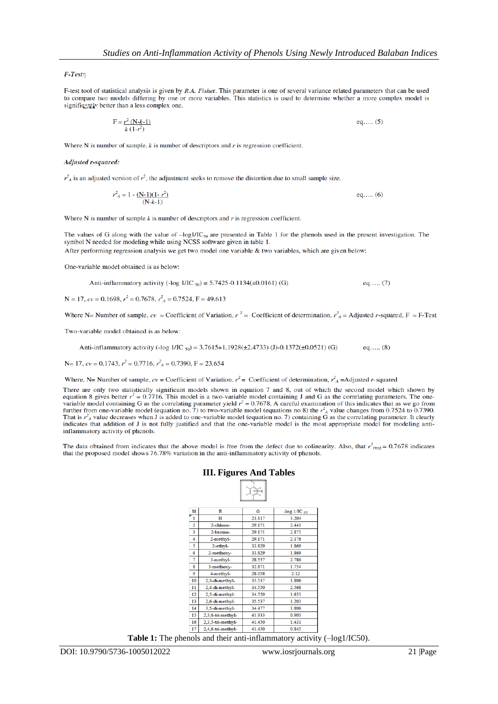F-Test:

F-test tool of statistical analysis is given by R.A. Fisher. This parameter is one of several variance related parameters that can be used to compare two models differing by one or more variables. This statistics is used to determine whether a more complex model is significantly better than a less complex one.

> $F = \frac{r^2 (N - k - 1)}{k (1 - r^2)}$ eq..... $(5)$

Where N is number of sample,  $k$  is number of descriptors and  $r$  is regression coefficient.

**Adjusted r-squared:** 

 $r_A^2$  is an adjusted version of  $r^2$ , the adjustment seeks to remove the distortion due to small sample size.

 $r_A^2 = 1 - \frac{(N-1)(1-r^2)}{(N-k-1)}$ eq..... $(6)$ 

Where N is number of sample  $k$  is number of descriptors and  $r$  is regression coefficient.

The values of G along with the value of  $-\log 1/\sqrt{\log 2}$  are presented in Table 1 for the phenols used in the present investigation. The symbol N needed for modeling while using NCSS software given in table 1.

After performing regression analysis we get two model one variable & two variables, which are given below:

One-variable model obtained is as below:

Anti-inflammatory activity (-log 
$$
1/IC_{50}
$$
) = 5.7425-0.1134( $\pm$ 0.0161) (G) eq.... (7)

 $N = 17$ ,  $cv = 0.1698$ ,  $r^2 = 0.7678$ ,  $r_A^2 = 0.7524$ ,  $F = 49.613$ 

Where N= Number of sample,  $cv =$  Coefficient of Variation,  $r^2 =$  Coefficient of determination,  $r_A^2 =$  Adjusted r-squared, F = F-Test

Two-variable model obtained is as below:

Anti-inflammatory activity (-log 1/IC  $_{50}$ ) = 3.7615+1.1928(±2.4733) (J)-0.1372(±0.0521) (G) eq..... $(8)$ 

N= 17,  $cv = 0.1743$ ,  $r^2 = 0.7716$ ,  $r_A^2 = 0.7390$ , F = 23.654

Where, N= Number of sample,  $cv =$  Coefficient of Variation,  $r^2 =$  Coefficient of determination,  $r^2_A =$ Adjusted r-squared

There are only two statistically significant models shown in equation 7 and 8, out of which the second model which shown by equation 8 gives better  $r^2 = 0.7716$ . This model is a two-variable model containing J and G as the correlating parameters. The onevariable model containing G as the correlating parameter yield  $r^2 = 0.7678$ . A careful examination of this indicates that as we go from further from one-variable model (equation no. 7) to two-variable model (equations no 8) the  $r_A^2$  value changes from 0.7524 to 0.7390. That is  $r_A^2$  value decreases when J is added to one-variable model (equation no. 7) containing G as the correlating parameter. It clearly indicates that addition of J is not fully justified and that the one-variable model is the most appropriate model for modeling antiinflammatory activity of phenols.

The data obtained from indicates that the above model is free from the defect due to colinearity. Also, that  $r_{\text{pred}}^2 = 0.7678$  indicates that the proposed model shows 76.78% variation in the anti-inflammatory activity of phenols.

> **III. Figures And Tables**  $\Box$

|                |                   | R      |                         |
|----------------|-------------------|--------|-------------------------|
| S1             | R                 | G      | -log $1/\text{IC}_{50}$ |
| 1              | н                 | 23.117 | 3.204                   |
| $\overline{2}$ | 2-chloro-         | 29.171 | 2.441                   |
| 3              | 2-bromo-          | 29.171 | 2.875                   |
| 4              | 2-methyl-         | 29.171 | 2.176                   |
| 5              | 2-ethyl-          | 33.829 | 1.869                   |
| 6              | 2-methoxy-        | 33.829 | 1.869                   |
| 7              | 3-methyl-         | 28.557 | 2.786                   |
| g              | 3-methoxy-        | 32.871 | 1.754                   |
| 9              | 4-methyl-         | 28.058 | 2.12                    |
| 10             | 2.3-di-methyl-    | 35.537 | 1.806                   |
| 11             | 2,4-di-methyl-    | 34.550 | 2.568                   |
| 12             | 2,5-di-methyl-    | 34 550 | 1.653                   |
| 13             | 2.6-di-methyl-    | 35.537 | 1.203                   |
| 14             | 3.5-di-methyl-    | 34.477 | 1.806                   |
| 15             | 2,3,6-tri-methyl- | 41.933 | 0.903                   |
| 16             | 2,3,5-tri-methyl- | 41.450 | 1.431                   |
| 17             | 2.4.6-tri-methyl- | 41.450 | 0.845                   |

**Table 1:** The phenols and their anti-inflammatory activity  $(-log1/IC50)$ .